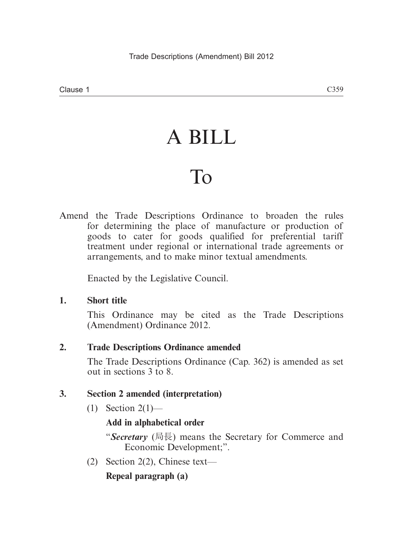# A BILL

# To

Amend the Trade Descriptions Ordinance to broaden the rules for determining the place of manufacture or production of goods to cater for goods qualified for preferential tariff treatment under regional or international trade agreements or arrangements, and to make minor textual amendments.

Enacted by the Legislative Council.

# **1. Short title**

This Ordinance may be cited as the Trade Descriptions (Amendment) Ordinance 2012.

# **2. Trade Descriptions Ordinance amended**

The Trade Descriptions Ordinance (Cap. 362) is amended as set out in sections 3 to 8.

# **3. Section 2 amended (interpretation)**

 $(1)$  Section 2(1)—

# **Add in alphabetical order**

"*Secretary* (局長) means the Secretary for Commerce and Economic Development;".

(2) Section 2(2), Chinese text—

# **Repeal paragraph (a)**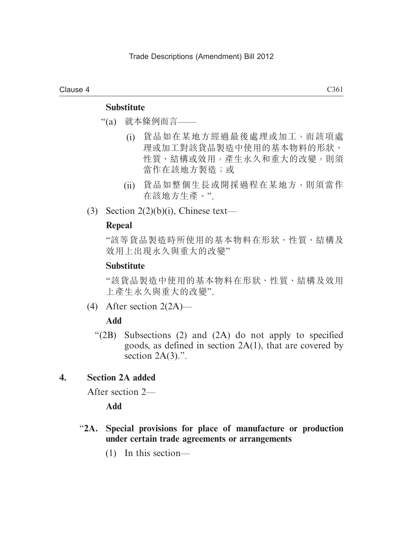#### Clause 4

### **Substitute**

- "(a) 就本條例而言——
	- (i) 貨品如在某地方經過最後處理或加工,而該項處 理或加工對該貨品製造中使用的基本物料的形狀、 性質、結構或效用,產生永久和重大的改變,則須 當作在該地方製造;或
	- (ii) 貨品如整個生長或開採過程在某地方,則須當作 在該地方生產。".
- (3) Section  $2(2)(b)(i)$ , Chinese text—

#### **Repeal**

"該等貨品製造時所使用的基本物料在形狀、性質、結構及 效用上出現永久與重大的改變"

### **Substitute**

"該貨品製造中使用的基本物料在形狀、性質、結構及效用 上產生永久與重大的改變".

(4) After section 2(2A)—

#### **Add**

 "(2B) Subsections (2) and (2A) do not apply to specified goods, as defined in section 2A(1), that are covered by section  $2A(3)$ .".

### **4. Section 2A added**

After section 2—

**Add**

- "**2A. Special provisions for place of manufacture or production under certain trade agreements or arrangements**
	- (1) In this section—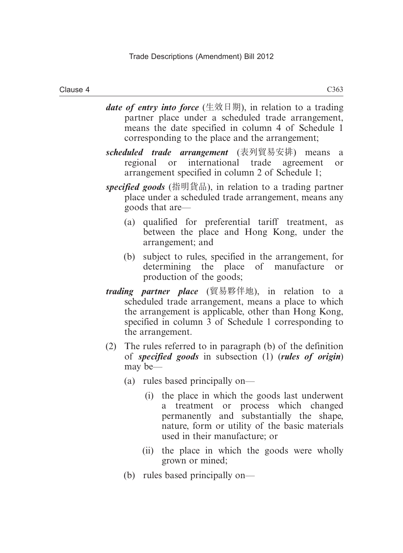- *date of entry into force* (生效日期), in relation to a trading partner place under a scheduled trade arrangement, means the date specified in column 4 of Schedule 1 corresponding to the place and the arrangement;
- *scheduled trade arrangement* (表列貿易安排) means a regional or international trade agreement or arrangement specified in column 2 of Schedule 1;
- *specified goods* (指明貨品), in relation to a trading partner place under a scheduled trade arrangement, means any goods that are—
	- (a) qualified for preferential tariff treatment, as between the place and Hong Kong, under the arrangement; and
	- (b) subject to rules, specified in the arrangement, for determining the place of manufacture or production of the goods;
- *trading partner place* (貿易夥伴地), in relation to a scheduled trade arrangement, means a place to which the arrangement is applicable, other than Hong Kong, specified in column 3 of Schedule 1 corresponding to the arrangement.
- (2) The rules referred to in paragraph (b) of the definition of *specified goods* in subsection (1) (*rules of origin*) may be—
	- (a) rules based principally on—
		- (i) the place in which the goods last underwent a treatment or process which changed permanently and substantially the shape, nature, form or utility of the basic materials used in their manufacture; or
		- (ii) the place in which the goods were wholly grown or mined;
	- (b) rules based principally on—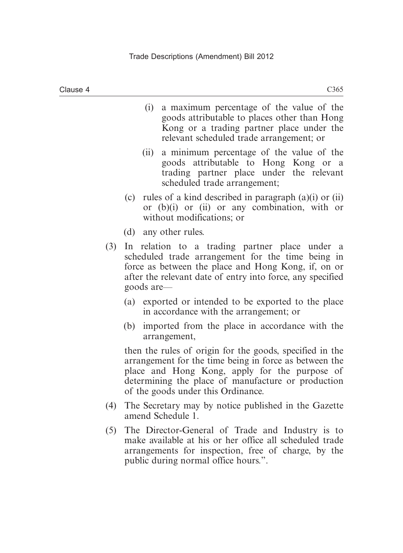- goods attributable to places other than Hong Kong or a trading partner place under the relevant scheduled trade arrangement; or
- (ii) a minimum percentage of the value of the goods attributable to Hong Kong or a trading partner place under the relevant scheduled trade arrangement;
- (c) rules of a kind described in paragraph (a)(i) or (ii) or (b)(i) or (ii) or any combination, with or without modifications; or
- (d) any other rules.
- (3) In relation to a trading partner place under a scheduled trade arrangement for the time being in force as between the place and Hong Kong, if, on or after the relevant date of entry into force, any specified goods are—
	- (a) exported or intended to be exported to the place in accordance with the arrangement; or
	- (b) imported from the place in accordance with the arrangement,

then the rules of origin for the goods, specified in the arrangement for the time being in force as between the place and Hong Kong, apply for the purpose of determining the place of manufacture or production of the goods under this Ordinance.

- (4) The Secretary may by notice published in the Gazette amend Schedule 1.
- (5) The Director-General of Trade and Industry is to make available at his or her office all scheduled trade arrangements for inspection, free of charge, by the public during normal office hours.".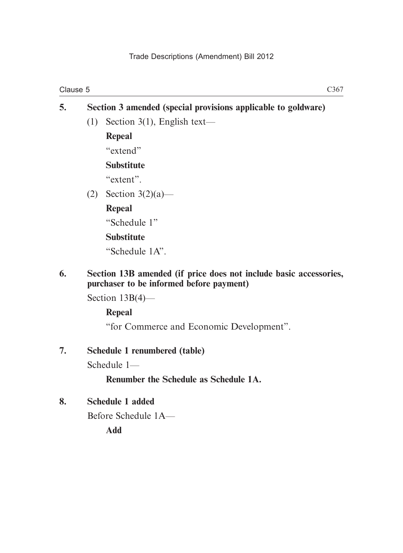# **5. Section 3 amended (special provisions applicable to goldware)** (1) Section 3(1), English text— **Repeal** "extend" **Substitute** "extent". (2) Section 3(2)(a)—

### **Repeal**

"Schedule 1"

# **Substitute**

"Schedule 1A".

# **6. Section 13B amended (if price does not include basic accessories, purchaser to be informed before payment)**

Section 13B(4)—

# **Repeal**

"for Commerce and Economic Development".

# **7. Schedule 1 renumbered (table)**

Schedule 1—

# **Renumber the Schedule as Schedule 1A.**

# **8. Schedule 1 added**

Before Schedule 1A—

**Add**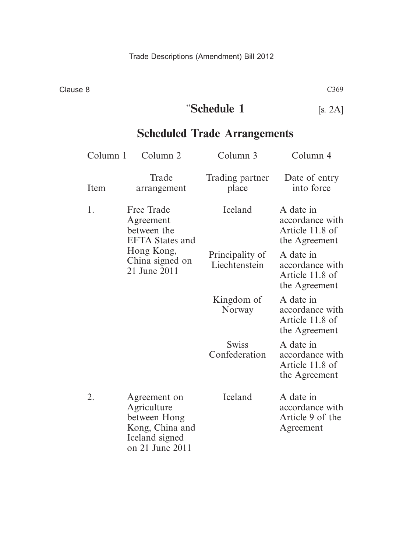# "**Schedule 1** [s. 2A]

# **Scheduled Trade Arrangements**

| Column 1 | Column <sub>2</sub>                                                                                                      | Column 3                         | Column 4                                                         |
|----------|--------------------------------------------------------------------------------------------------------------------------|----------------------------------|------------------------------------------------------------------|
| Item     | Trade<br>arrangement                                                                                                     | Trading partner<br>place         | Date of entry<br>into force                                      |
| 1.       | <b>Free Trade</b><br>Agreement<br>between the<br><b>EFTA</b> States and<br>Hong Kong,<br>China signed on<br>21 June 2011 | Iceland                          | A date in<br>accordance with<br>Article 11.8 of<br>the Agreement |
|          |                                                                                                                          | Principality of<br>Liechtenstein | A date in<br>accordance with<br>Article 11.8 of<br>the Agreement |
|          |                                                                                                                          | Kingdom of<br>Norway             | A date in<br>accordance with<br>Article 11.8 of<br>the Agreement |
|          |                                                                                                                          | <b>Swiss</b><br>Confederation    | A date in<br>accordance with<br>Article 11.8 of<br>the Agreement |
| 2.       | Agreement on<br>Agriculture<br>between Hong<br>Kong, China and<br>Iceland signed<br>on 21 June 2011                      | Iceland                          | A date in<br>accordance with<br>Article 9 of the<br>Agreement    |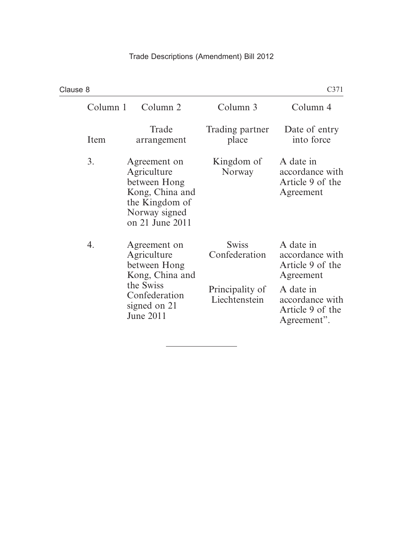| Clause 8<br>C371 |                                                                                                                                  |                                                                   |                                                                                                                                  |  |
|------------------|----------------------------------------------------------------------------------------------------------------------------------|-------------------------------------------------------------------|----------------------------------------------------------------------------------------------------------------------------------|--|
| Column 1         | Column 2                                                                                                                         | Column 3                                                          | Column 4                                                                                                                         |  |
| Item             | Trade<br>arrangement                                                                                                             | Trading partner<br>place                                          | Date of entry<br>into force                                                                                                      |  |
| 3.               | Agreement on<br>Agriculture<br>between Hong<br>Kong, China and<br>the Kingdom of<br>Norway signed<br>on 21 June 2011             | Kingdom of<br>Norway                                              | A date in<br>accordance with<br>Article 9 of the<br>Agreement                                                                    |  |
| 4.               | Agreement on<br>Agriculture<br>between Hong<br>Kong, China and<br>the Swiss<br>Confederation<br>signed on 21<br><b>June 2011</b> | <b>Swiss</b><br>Confederation<br>Principality of<br>Liechtenstein | A date in<br>accordance with<br>Article 9 of the<br>Agreement<br>A date in<br>accordance with<br>Article 9 of the<br>Agreement". |  |